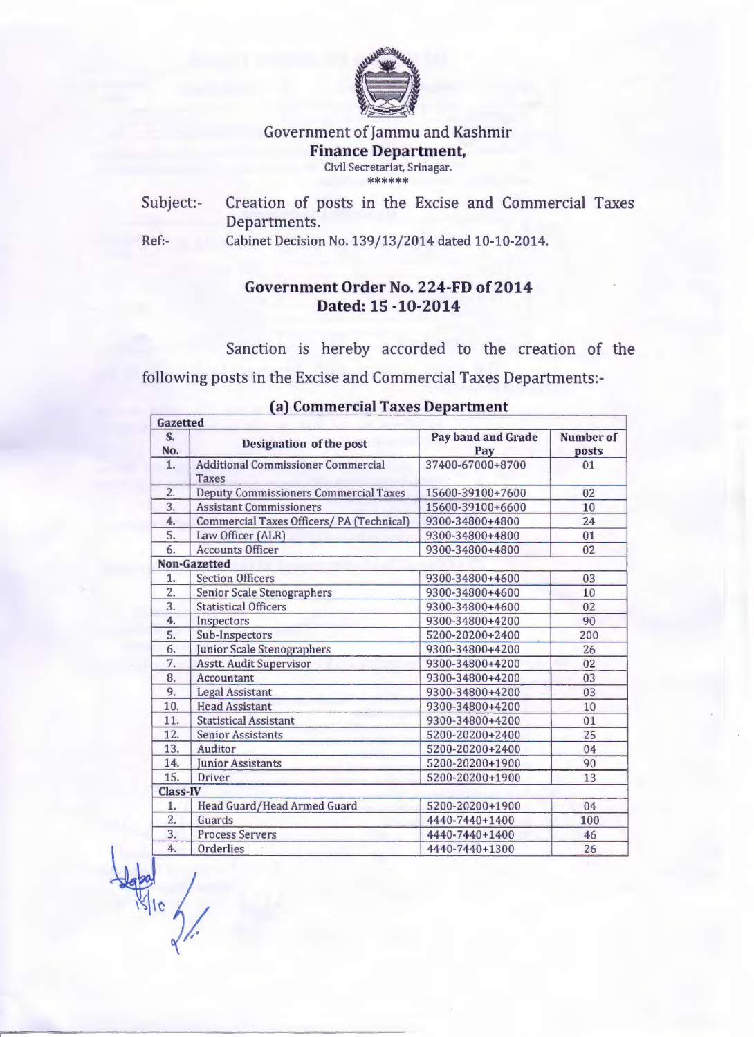

#### Government of Jammu and Kashmir Finance Department, Civil Secretariat, Srinagar. \*\*\*\*\*\*

Subject:- Creation of posts in the Excise and Commercial Taxes Departments.

Ref:- Cabinet Decision No. 139/13/2014 dated 10-10-2014.

# Government Order No. 224-FD of 2014 Dated: 15 -10-2014

Sanction is hereby accorded to the creation of the following posts in the Excise and Commercial Taxes Departments:-

| $S_{-}$          | <b>Designation of the post</b>                            | Pay band and Grade | Number of |
|------------------|-----------------------------------------------------------|--------------------|-----------|
| No.              |                                                           | Pay                | posts     |
| 1.               | <b>Additional Commissioner Commercial</b><br><b>Taxes</b> | 37400-67000+8700   | 01        |
| 2.               | <b>Deputy Commissioners Commercial Taxes</b>              | 15600-39100+7600   | 02        |
| 3.               | <b>Assistant Commissioners</b>                            | 15600-39100+6600   | 10        |
| 4.               | Commercial Taxes Officers/ PA (Technical)                 | 9300-34800+4800    | 24        |
| 5.               | Law Officer (ALR)                                         | 9300-34800+4800    | 01        |
| 6.               | <b>Accounts Officer</b>                                   | 9300-34800+4800    | 02        |
|                  | Non-Gazetted                                              |                    |           |
| 1.               | <b>Section Officers</b>                                   | 9300-34800+4600    | 03        |
| $\overline{2}$ . | <b>Senior Scale Stenographers</b>                         | 9300-34800+4600    | 10        |
| 3.               | <b>Statistical Officers</b>                               | 9300-34800+4600    | 02        |
| 4.               | Inspectors                                                | 9300-34800+4200    | 90        |
| 5.               | Sub-Inspectors                                            | 5200-20200+2400    | 200       |
| 6.               | Junior Scale Stenographers                                | 9300-34800+4200    | 26        |
| 7.               | <b>Asstt. Audit Supervisor</b>                            | 9300-34800+4200    | 02        |
| 8.               | Accountant                                                | 9300-34800+4200    | 03        |
| 9.               | <b>Legal Assistant</b>                                    | 9300-34800+4200    | 03        |
| 10.              | <b>Head Assistant</b>                                     | 9300-34800+4200    | 10        |
| 11.              | <b>Statistical Assistant</b>                              | 9300-34800+4200    | 01        |
| 12.              | <b>Senior Assistants</b>                                  | 5200-20200+2400    | 25        |
| 13.              | Auditor                                                   | 5200-20200+2400    | 04        |
| 14.              | <b>Iunior Assistants</b>                                  | 5200-20200+1900    | 90        |
| 15.              | <b>Driver</b>                                             | 5200-20200+1900    | 13        |
| <b>Class-IV</b>  |                                                           |                    |           |
| 1.               | Head Guard/Head Armed Guard                               | 5200-20200+1900    | 04        |
| $\overline{2}$   | Guards                                                    | 4440-7440+1400     | 100       |
| 3.               | <b>Process Servers</b>                                    | 4440-7440+1400     | 46        |
| 4.               | Orderlies                                                 | 4440-7440+1300     | 26        |

## (a) Commercial Taxes Department